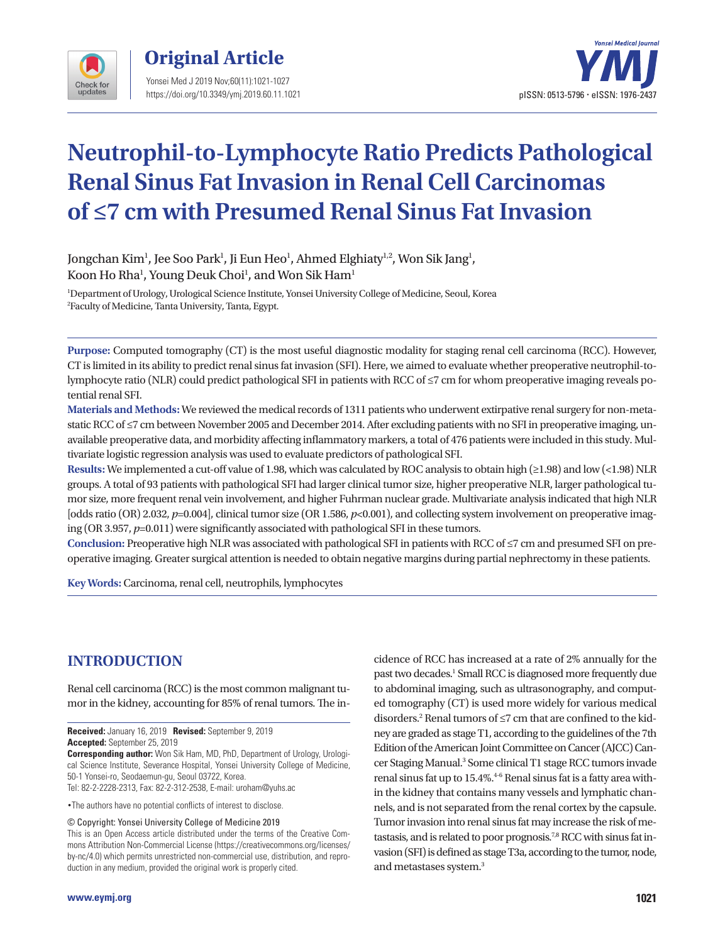



# **Neutrophil-to-Lymphocyte Ratio Predicts Pathological Renal Sinus Fat Invasion in Renal Cell Carcinomas of ≤7 cm with Presumed Renal Sinus Fat Invasion**

Jongchan Kim<sup>1</sup>, Jee Soo Park<sup>1</sup>, Ji Eun Heo<sup>1</sup>, Ahmed Elghiaty<sup>1,2</sup>, Won Sik Jang<sup>1</sup>, Koon Ho Rha $^{\rm l}$ , Young Deuk Choi $^{\rm l}$ , and Won Sik Ham $^{\rm l}$ 

1 Department of Urology, Urological Science Institute, Yonsei University College of Medicine, Seoul, Korea 2 Faculty of Medicine, Tanta University, Tanta, Egypt.

**Purpose:** Computed tomography (CT) is the most useful diagnostic modality for staging renal cell carcinoma (RCC). However, CT is limited in its ability to predict renal sinus fat invasion (SFI). Here, we aimed to evaluate whether preoperative neutrophil-tolymphocyte ratio (NLR) could predict pathological SFI in patients with RCC of ≤7 cm for whom preoperative imaging reveals potential renal SFI.

**Materials and Methods:** We reviewed the medical records of 1311 patients who underwent extirpative renal surgery for non-metastatic RCC of ≤7 cm between November 2005 and December 2014. After excluding patients with no SFI in preoperative imaging, unavailable preoperative data, and morbidity affecting inflammatory markers, a total of 476 patients were included in this study. Multivariate logistic regression analysis was used to evaluate predictors of pathological SFI.

**Results:** We implemented a cut-off value of 1.98, which was calculated by ROC analysis to obtain high (≥1.98) and low (<1.98) NLR groups. A total of 93 patients with pathological SFI had larger clinical tumor size, higher preoperative NLR, larger pathological tumor size, more frequent renal vein involvement, and higher Fuhrman nuclear grade. Multivariate analysis indicated that high NLR [odds ratio (OR) 2.032, *p*=0.004], clinical tumor size (OR 1.586, *p*<0.001), and collecting system involvement on preoperative imaging (OR 3.957, *p*=0.011) were significantly associated with pathological SFI in these tumors.

**Conclusion:** Preoperative high NLR was associated with pathological SFI in patients with RCC of ≤7 cm and presumed SFI on preoperative imaging. Greater surgical attention is needed to obtain negative margins during partial nephrectomy in these patients.

**Key Words:** Carcinoma, renal cell, neutrophils, lymphocytes

# **INTRODUCTION**

Renal cell carcinoma (RCC) is the most common malignant tumor in the kidney, accounting for 85% of renal tumors. The in-

**Received:** January 16, 2019 **Revised:** September 9, 2019 **Accepted:** September 25, 2019

**Corresponding author:** Won Sik Ham, MD, PhD, Department of Urology, Urological Science Institute, Severance Hospital, Yonsei University College of Medicine, 50-1 Yonsei-ro, Seodaemun-gu, Seoul 03722, Korea.

Tel: 82-2-2228-2313, Fax: 82-2-312-2538, E-mail: uroham@yuhs.ac

•The authors have no potential conflicts of interest to disclose.

© Copyright: Yonsei University College of Medicine 2019

This is an Open Access article distributed under the terms of the Creative Commons Attribution Non-Commercial License (https://creativecommons.org/licenses/ by-nc/4.0) which permits unrestricted non-commercial use, distribution, and reproduction in any medium, provided the original work is properly cited.

cidence of RCC has increased at a rate of 2% annually for the past two decades.<sup>1</sup> Small RCC is diagnosed more frequently due to abdominal imaging, such as ultrasonography, and computed tomography (CT) is used more widely for various medical disorders.2 Renal tumors of ≤7 cm that are confined to the kidney are graded as stage T1, according to the guidelines of the 7th Edition of the American Joint Committee on Cancer (AJCC) Cancer Staging Manual.<sup>3</sup> Some clinical T1 stage RCC tumors invade renal sinus fat up to 15.4%.<sup>4-6</sup> Renal sinus fat is a fatty area within the kidney that contains many vessels and lymphatic channels, and is not separated from the renal cortex by the capsule. Tumor invasion into renal sinus fat may increase the risk of metastasis, and is related to poor prognosis.<sup>7,8</sup> RCC with sinus fat invasion (SFI) is defined as stage T3a, according to the tumor, node, and metastases system.3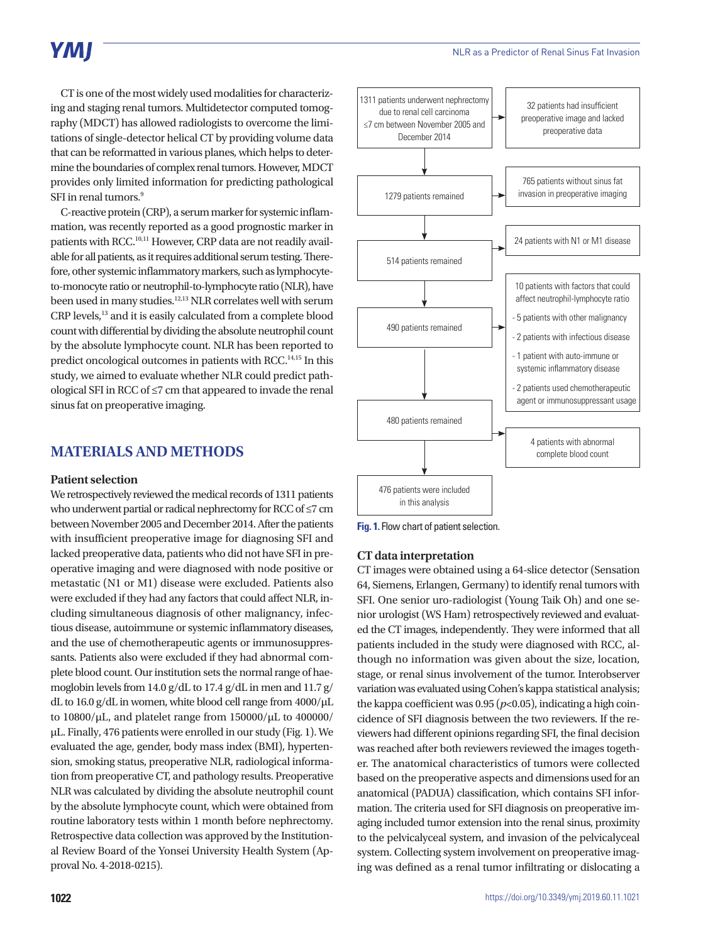# **YMI**

CT is one of the most widely used modalities for characterizing and staging renal tumors. Multidetector computed tomography (MDCT) has allowed radiologists to overcome the limitations of single-detector helical CT by providing volume data that can be reformatted in various planes, which helps to determine the boundaries of complex renal tumors. However, MDCT provides only limited information for predicting pathological SFI in renal tumors.<sup>9</sup>

C-reactive protein (CRP), a serum marker for systemic inflammation, was recently reported as a good prognostic marker in patients with RCC.10,11 However, CRP data are not readily available for all patients, as it requires additional serum testing. Therefore, other systemic inflammatory markers, such as lymphocyteto-monocyte ratio or neutrophil-to-lymphocyte ratio (NLR), have been used in many studies.12,13 NLR correlates well with serum CRP levels,13 and it is easily calculated from a complete blood count with differential by dividing the absolute neutrophil count by the absolute lymphocyte count. NLR has been reported to predict oncological outcomes in patients with RCC.<sup>14,15</sup> In this study, we aimed to evaluate whether NLR could predict pathological SFI in RCC of ≤7 cm that appeared to invade the renal sinus fat on preoperative imaging.

### **MATERIALS AND METHODS**

#### **Patient selection**

We retrospectively reviewed the medical records of 1311 patients who underwent partial or radical nephrectomy for RCC of ≤7 cm between November 2005 and December 2014. After the patients with insufficient preoperative image for diagnosing SFI and lacked preoperative data, patients who did not have SFI in preoperative imaging and were diagnosed with node positive or metastatic (N1 or M1) disease were excluded. Patients also were excluded if they had any factors that could affect NLR, including simultaneous diagnosis of other malignancy, infectious disease, autoimmune or systemic inflammatory diseases, and the use of chemotherapeutic agents or immunosuppressants. Patients also were excluded if they had abnormal complete blood count. Our institution sets the normal range of haemoglobin levels from 14.0 g/dL to 17.4 g/dL in men and 11.7 g/ dL to 16.0 g/dL in women, white blood cell range from 4000/μL to 10800/μL, and platelet range from 150000/μL to 400000/ μL. Finally, 476 patients were enrolled in our study (Fig. 1). We evaluated the age, gender, body mass index (BMI), hypertension, smoking status, preoperative NLR, radiological information from preoperative CT, and pathology results. Preoperative NLR was calculated by dividing the absolute neutrophil count by the absolute lymphocyte count, which were obtained from routine laboratory tests within 1 month before nephrectomy. Retrospective data collection was approved by the Institutional Review Board of the Yonsei University Health System (Approval No. 4-2018-0215).



**Fig. 1.** Flow chart of patient selection.

#### **CT data interpretation**

CT images were obtained using a 64-slice detector (Sensation 64, Siemens, Erlangen, Germany) to identify renal tumors with SFI. One senior uro-radiologist (Young Taik Oh) and one senior urologist (WS Ham) retrospectively reviewed and evaluated the CT images, independently. They were informed that all patients included in the study were diagnosed with RCC, although no information was given about the size, location, stage, or renal sinus involvement of the tumor. Interobserver variation was evaluated using Cohen's kappa statistical analysis; the kappa coefficient was  $0.95 (p<0.05)$ , indicating a high coincidence of SFI diagnosis between the two reviewers. If the reviewers had different opinions regarding SFI, the final decision was reached after both reviewers reviewed the images together. The anatomical characteristics of tumors were collected based on the preoperative aspects and dimensions used for an anatomical (PADUA) classification, which contains SFI information. The criteria used for SFI diagnosis on preoperative imaging included tumor extension into the renal sinus, proximity to the pelvicalyceal system, and invasion of the pelvicalyceal system. Collecting system involvement on preoperative imaging was defined as a renal tumor infiltrating or dislocating a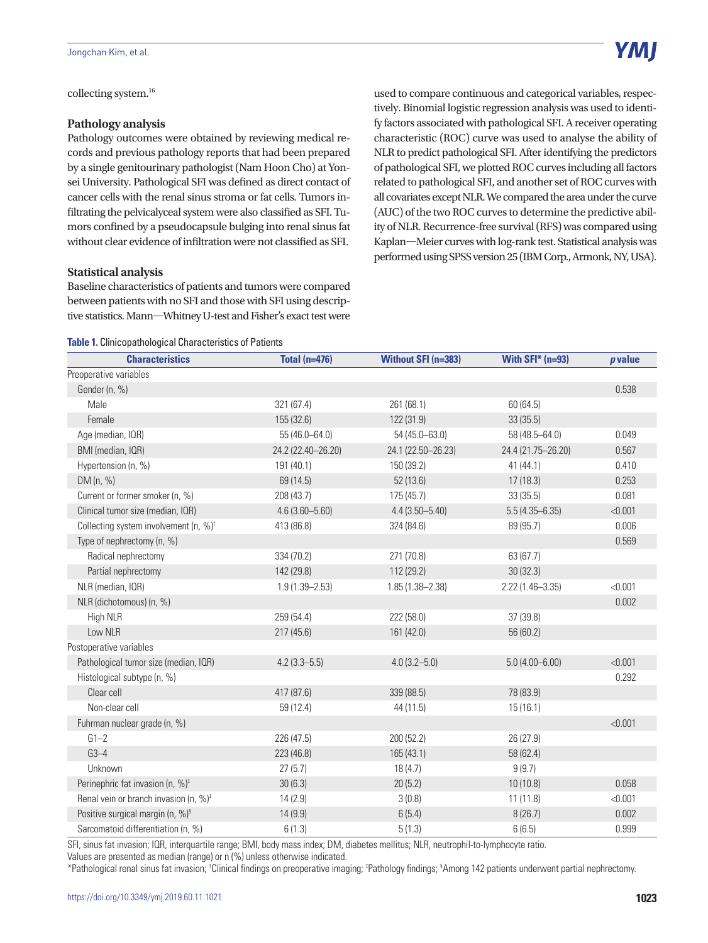collecting system.<sup>16</sup>

#### **Pathology analysis**

Pathology outcomes were obtained by reviewing medical records and previous pathology reports that had been prepared by a single genitourinary pathologist (Nam Hoon Cho) at Yonsei University. Pathological SFI was defined as direct contact of cancer cells with the renal sinus stroma or fat cells. Tumors infiltrating the pelvicalyceal system were also classified as SFI. Tumors confined by a pseudocapsule bulging into renal sinus fat without clear evidence of infiltration were not classified as SFI.

#### **Statistical analysis**

Baseline characteristics of patients and tumors were compared between patients with no SFI and those with SFI using descriptive statistics. Mann—Whitney U-test and Fisher's exact test were

#### **Table 1.** Clinicopathological Characteristics of Patients

**Characteristics Total (n=476) Without SFI (n=383) With SFI\* (n=93)** *p* **value** Preoperative variables Gender (n, %) 0.538 Male 321 (67.4) 321 (67.4) 261 (68.1) 326 (64.5) Female 155 (32.6) 122 (31.9) 33 (35.5) Age (median, IQR) 6.049 BMI (median, IQR) 24.2 (22.40–26.20) 24.1 (22.50–26.23) 24.4 (21.75–26.20) 0.567 Hypertension (n, %) 191 (40.1) 191 (40.1) 150 (39.2) 41 (44.1) 150 (39.2) 41 (44.1) DM (n, %) 69 (14.5) 52 (13.6) 17 (18.3) 0.253 Current or former smoker (n, %) 208 (43.7) 208 (43.7) 175 (45.7) 33 (35.5) 33 (35.5) 0.081 Clinical tumor size (median, IQR) 4.6 (3.60–5.60) 4.4 (3.50–5.40) 5.5 (4.35–6.35) <0.001 Collecting system involvement (n, %)† 413 (86.8) 324 (84.6) 89 (95.7) 0.006 Type of nephrectomy (n, %) 0.569 Radical nephrectomy 334 (70.2) 271 (70.8) 63 (67.7) Partial nephrectomy 142 (29.8) 112 (29.2) 30 (32.3) NLR (median, IQR) 1.9 (1.39–2.53) 1.85 (1.38–2.38) 2.22 (1.46–3.35) <0.001 NLR (dichotomous) (n, %) 0.002 High NLR 259 (54.4) 222 (58.0) 37 (39.8) Low NLR 217 (45.6) 161 (42.0) 56 (60.2) Postoperative variables Pathological tumor size (median, IQR) 4.2 (3.3–5.5) 4.0 (3.2–5.0) 5.0 (4.00–6.00) <0.001 Histological subtype (n, %) 0.292 Clear cell 417 (87.6) 339 (88.5) 78 (83.9) Non-clear cell 59 (12.4) 44 (11.5) 15 (16.1) Fuhrman nuclear grade (n, %) <0.001  $G1-2$  28 (47.5) 28 (47.5) 200 (52.2) 26 (27.9)  $G3-4$  58 (62.4)  $223(46.8)$  165 (43.1) 58 (62.4) Unknown 27 (5.7) 18 (4.7) 9 (9.7) Perinephric fat invasion (n, %)<sup>‡</sup> 30 (6.3) 20 (5.2) 20 (5.2) 10 (10.8) 0.058 Renal vein or branch invasion (n,  $\%$ )<sup>t</sup>  $14 (2.9)$   $3 (0.8)$   $11 (11.8)$   $\tag{0.001}$ Positive surgical margin (n, %)§ 14 (9.9) 6 (5.4) 6 (5.4) 8 (26.7) 8 (26.7) 0.002 Sarcomatoid differentiation (n, %) 6 (1.3) 5 (1.3) 6 (6.5) 6 (6.5) 6 (6.5)

SFI, sinus fat invasion; IQR, interquartile range; BMI, body mass index; DM, diabetes mellitus; NLR, neutrophil-to-lymphocyte ratio. Values are presented as median (range) or n (%) unless otherwise indicated.

\*Pathological renal sinus fat invasion; 'Clinical findings on preoperative imaging; <sup>‡</sup>Pathology findings; <sup>§</sup>Among 142 patients underwent partial nephrectomy.

used to compare continuous and categorical variables, respectively. Binomial logistic regression analysis was used to identify factors associated with pathological SFI. A receiver operating characteristic (ROC) curve was used to analyse the ability of NLR to predict pathological SFI. After identifying the predictors of pathological SFI, we plotted ROC curves including all factors related to pathological SFI, and another set of ROC curves with all covariates except NLR. We compared the area under the curve (AUC) of the two ROC curves to determine the predictive ability of NLR. Recurrence-free survival (RFS) was compared using Kaplan—Meier curves with log-rank test. Statistical analysis was performed using SPSS version 25 (IBM Corp., Armonk, NY, USA).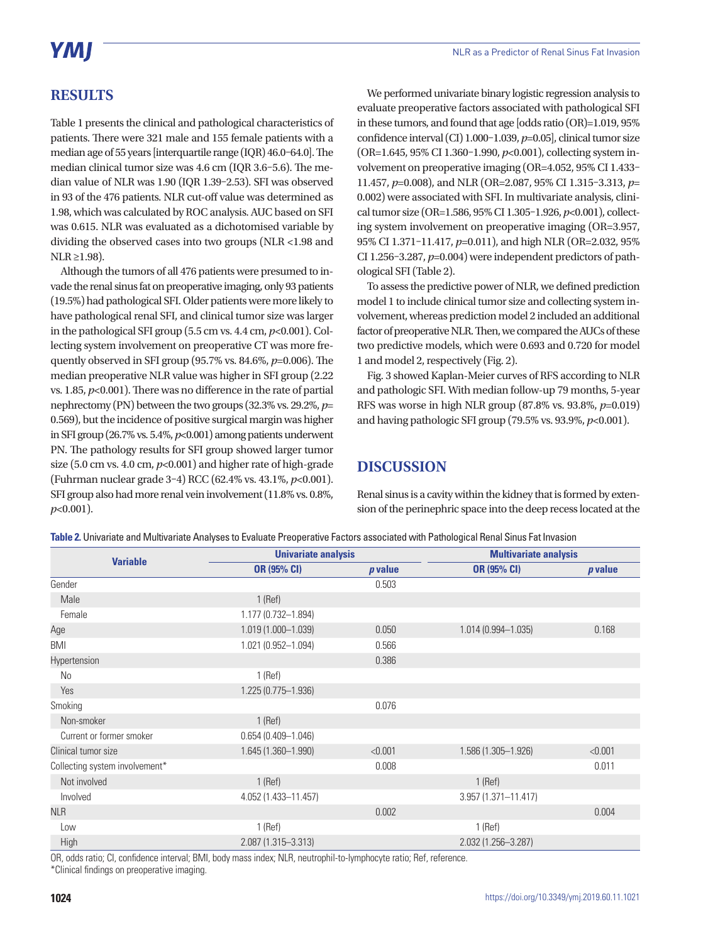# **RESULTS**

Table 1 presents the clinical and pathological characteristics of patients. There were 321 male and 155 female patients with a median age of 55 years [interquartile range (IQR) 46.0–64.0]. The median clinical tumor size was 4.6 cm (IQR 3.6–5.6). The median value of NLR was 1.90 (IQR 1.39–2.53). SFI was observed in 93 of the 476 patients. NLR cut-off value was determined as 1.98, which was calculated by ROC analysis. AUC based on SFI was 0.615. NLR was evaluated as a dichotomised variable by dividing the observed cases into two groups (NLR <1.98 and  $NLR \geq 1.98$ ).

Although the tumors of all 476 patients were presumed to invade the renal sinus fat on preoperative imaging, only 93 patients (19.5%) had pathological SFI. Older patients were more likely to have pathological renal SFI, and clinical tumor size was larger in the pathological SFI group (5.5 cm vs. 4.4 cm, *p*<0.001). Collecting system involvement on preoperative CT was more frequently observed in SFI group (95.7% vs. 84.6%, *p*=0.006). The median preoperative NLR value was higher in SFI group (2.22 vs. 1.85, *p*<0.001). There was no difference in the rate of partial nephrectomy (PN) between the two groups (32.3% vs. 29.2%, *p*= 0.569), but the incidence of positive surgical margin was higher in SFI group (26.7% vs. 5.4%, *p*<0.001) among patients underwent PN. The pathology results for SFI group showed larger tumor size (5.0 cm vs. 4.0 cm,  $p<0.001$ ) and higher rate of high-grade (Fuhrman nuclear grade 3–4) RCC (62.4% vs. 43.1%, *p*<0.001). SFI group also had more renal vein involvement (11.8% vs. 0.8%, *p*<0.001).

We performed univariate binary logistic regression analysis to evaluate preoperative factors associated with pathological SFI in these tumors, and found that age [odds ratio (OR)=1.019, 95% confidence interval (CI) 1.000–1.039, *p*=0.05], clinical tumor size (OR=1.645, 95% CI 1.360–1.990, *p*<0.001), collecting system involvement on preoperative imaging (OR=4.052, 95% CI 1.433– 11.457, *p*=0.008), and NLR (OR=2.087, 95% CI 1.315–3.313, *p*= 0.002) were associated with SFI. In multivariate analysis, clinical tumor size (OR=1.586, 95% CI 1.305–1.926, *p*<0.001), collecting system involvement on preoperative imaging (OR=3.957, 95% CI 1.371–11.417, *p*=0.011), and high NLR (OR=2.032, 95% CI 1.256–3.287, *p*=0.004) were independent predictors of pathological SFI (Table 2).

To assess the predictive power of NLR, we defined prediction model 1 to include clinical tumor size and collecting system involvement, whereas prediction model 2 included an additional factor of preoperative NLR. Then, we compared the AUCs of these two predictive models, which were 0.693 and 0.720 for model 1 and model 2, respectively (Fig. 2).

Fig. 3 showed Kaplan-Meier curves of RFS according to NLR and pathologic SFI. With median follow-up 79 months, 5-year RFS was worse in high NLR group (87.8% vs. 93.8%, *p*=0.019) and having pathologic SFI group (79.5% vs. 93.9%, *p*<0.001).

# **DISCUSSION**

Renal sinus is a cavity within the kidney that is formed by extension of the perinephric space into the deep recess located at the

| Table 2. Univariate and Multivariate Analyses to Evaluate Preoperative Factors associated with Pathological Renal Sinus Fat Invasion |  |  |  |
|--------------------------------------------------------------------------------------------------------------------------------------|--|--|--|
|--------------------------------------------------------------------------------------------------------------------------------------|--|--|--|

| <b>Variable</b>                | <b>Univariate analysis</b> |         | <b>Multivariate analysis</b> |                |
|--------------------------------|----------------------------|---------|------------------------------|----------------|
|                                | OR (95% CI)                | p value | <b>OR (95% CI)</b>           | <i>p</i> value |
| Gender                         |                            | 0.503   |                              |                |
| Male                           | $1$ (Ref)                  |         |                              |                |
| Female                         | 1.177 (0.732-1.894)        |         |                              |                |
| Age                            | $1.019(1.000 - 1.039)$     | 0.050   | 1.014 (0.994-1.035)          | 0.168          |
| <b>BMI</b>                     | 1.021 (0.952-1.094)        | 0.566   |                              |                |
| Hypertension                   |                            | 0.386   |                              |                |
| No                             | $1$ (Ref)                  |         |                              |                |
| Yes                            | $1.225(0.775 - 1.936)$     |         |                              |                |
| Smoking                        |                            | 0.076   |                              |                |
| Non-smoker                     | $1$ (Ref)                  |         |                              |                |
| Current or former smoker       | $0.654(0.409 - 1.046)$     |         |                              |                |
| Clinical tumor size            | 1.645 (1.360-1.990)        | < 0.001 | 1.586 (1.305-1.926)          | < 0.001        |
| Collecting system involvement* |                            | 0.008   |                              | 0.011          |
| Not involved                   | $1$ (Ref)                  |         | $1$ (Ref)                    |                |
| Involved                       | 4.052 (1.433-11.457)       |         | 3.957 (1.371-11.417)         |                |
| <b>NLR</b>                     |                            | 0.002   |                              | 0.004          |
| Low                            | $1$ (Ref)                  |         | $1$ (Ref)                    |                |
| High                           | 2.087 (1.315-3.313)        |         | 2.032 (1.256-3.287)          |                |

OR, odds ratio; CI, confidence interval; BMI, body mass index; NLR, neutrophil-to-lymphocyte ratio; Ref, reference.

\*Clinical findings on preoperative imaging.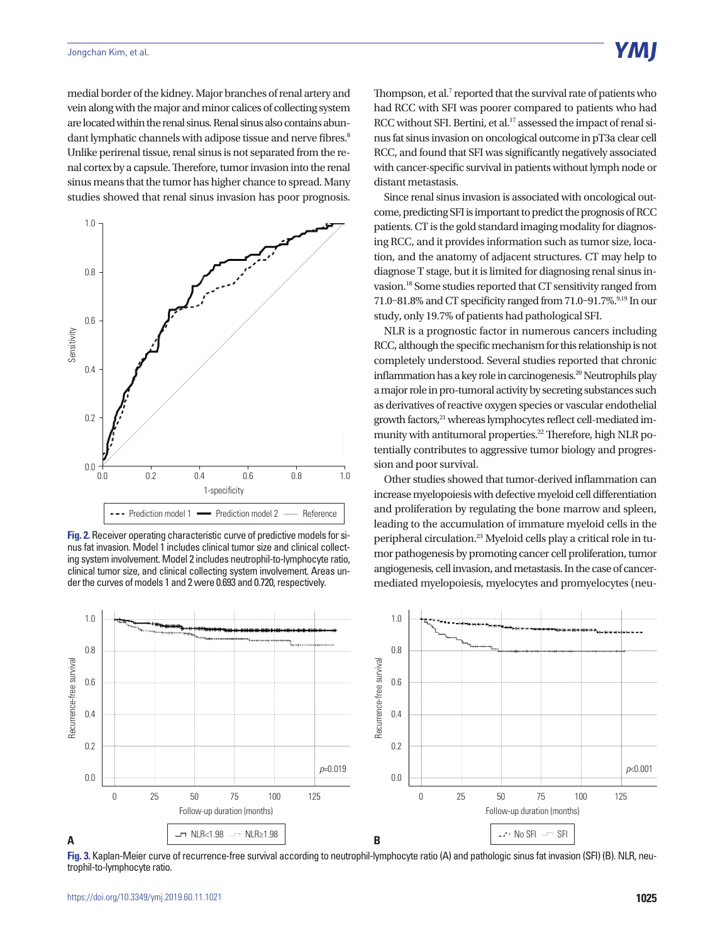medial border of the kidney. Major branches of renal artery and vein along with the major and minor calices of collecting system are located within the renal sinus. Renal sinus also contains abundant lymphatic channels with adipose tissue and nerve fibres.<sup>8</sup> Unlike perirenal tissue, renal sinus is not separated from the renal cortex by a capsule. Therefore, tumor invasion into the renal sinus means that the tumor has higher chance to spread. Many studies showed that renal sinus invasion has poor prognosis.



**Fig. 2.** Receiver operating characteristic curve of predictive models for sinus fat invasion. Model 1 includes clinical tumor size and clinical collecting system involvement. Model 2 includes neutrophil-to-lymphocyte ratio, clinical tumor size, and clinical collecting system involvement. Areas under the curves of models 1 and 2 were 0.693 and 0.720, respectively.

Thompson, et al.<sup>7</sup> reported that the survival rate of patients who had RCC with SFI was poorer compared to patients who had RCC without SFI. Bertini, et al.<sup>17</sup> assessed the impact of renal sinus fat sinus invasion on oncological outcome in pT3a clear cell RCC, and found that SFI was significantly negatively associated with cancer-specific survival in patients without lymph node or distant metastasis.

Since renal sinus invasion is associated with oncological outcome, predicting SFI is important to predict the prognosis of RCC patients. CT is the gold standard imaging modality for diagnosing RCC, and it provides information such as tumor size, location, and the anatomy of adjacent structures. CT may help to diagnose T stage, but it is limited for diagnosing renal sinus invasion.18 Some studies reported that CT sensitivity ranged from 71.0–81.8% and CT specificity ranged from 71.0–91.7%. $91.9$  In our study, only 19.7% of patients had pathological SFI.

NLR is a prognostic factor in numerous cancers including RCC, although the specific mechanism for this relationship is not completely understood. Several studies reported that chronic inflammation has a key role in carcinogenesis.<sup>20</sup> Neutrophils play a major role in pro-tumoral activity by secreting substances such as derivatives of reactive oxygen species or vascular endothelial growth factors,<sup>21</sup> whereas lymphocytes reflect cell-mediated immunity with antitumoral properties.<sup>22</sup> Therefore, high NLR potentially contributes to aggressive tumor biology and progression and poor survival.

Other studies showed that tumor-derived inflammation can increase myelopoiesis with defective myeloid cell differentiation and proliferation by regulating the bone marrow and spleen, leading to the accumulation of immature myeloid cells in the peripheral circulation.23 Myeloid cells play a critical role in tumor pathogenesis by promoting cancer cell proliferation, tumor angiogenesis, cell invasion, and metastasis. In the case of cancermediated myelopoiesis, myelocytes and promyelocytes (neu-



Fig. 3. Kaplan-Meier curve of recurrence-free survival according to neutrophil-lymphocyte ratio (A) and pathologic sinus fat invasion (SFI) (B). NLR, neutrophil-to-lymphocyte ratio.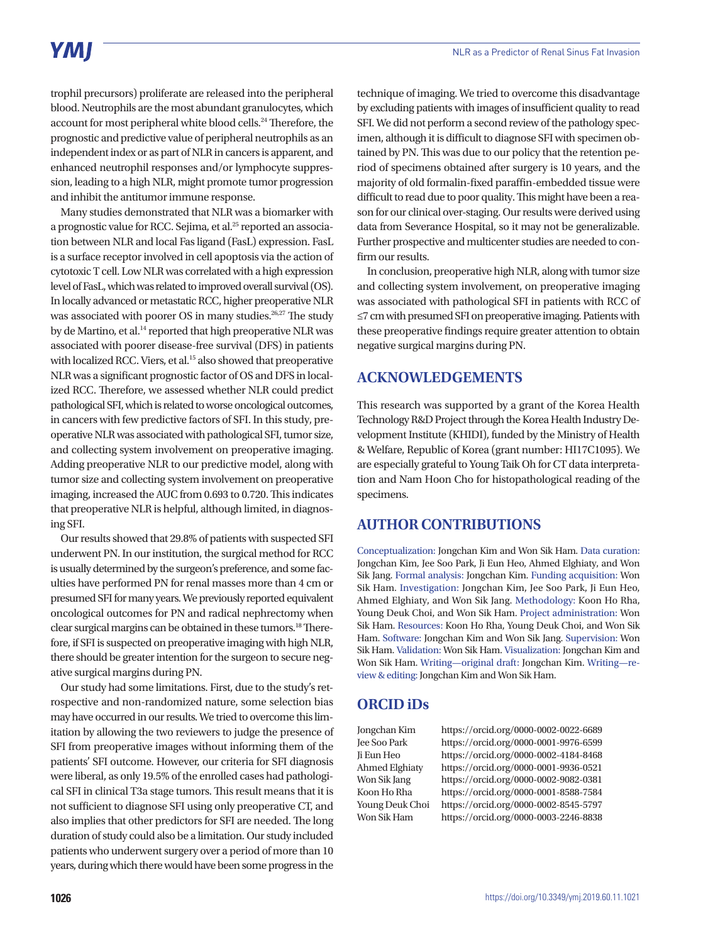# **YMI**

trophil precursors) proliferate are released into the peripheral blood. Neutrophils are the most abundant granulocytes, which account for most peripheral white blood cells.<sup>24</sup> Therefore, the prognostic and predictive value of peripheral neutrophils as an independent index or as part of NLR in cancers is apparent, and enhanced neutrophil responses and/or lymphocyte suppression, leading to a high NLR, might promote tumor progression and inhibit the antitumor immune response.

Many studies demonstrated that NLR was a biomarker with a prognostic value for RCC. Sejima, et al.<sup>25</sup> reported an association between NLR and local Fas ligand (FasL) expression. FasL is a surface receptor involved in cell apoptosis via the action of cytotoxic T cell. Low NLR was correlated with a high expression level of FasL, which was related to improved overall survival (OS). In locally advanced or metastatic RCC, higher preoperative NLR was associated with poorer OS in many studies.<sup>26,27</sup> The study by de Martino, et al.<sup>14</sup> reported that high preoperative NLR was associated with poorer disease-free survival (DFS) in patients with localized RCC. Viers, et al.<sup>15</sup> also showed that preoperative NLR was a significant prognostic factor of OS and DFS in localized RCC. Therefore, we assessed whether NLR could predict pathological SFI, which is related to worse oncological outcomes, in cancers with few predictive factors of SFI. In this study, preoperative NLR was associated with pathological SFI, tumor size, and collecting system involvement on preoperative imaging. Adding preoperative NLR to our predictive model, along with tumor size and collecting system involvement on preoperative imaging, increased the AUC from 0.693 to 0.720. This indicates that preoperative NLR is helpful, although limited, in diagnosing SFI.

Our results showed that 29.8% of patients with suspected SFI underwent PN. In our institution, the surgical method for RCC is usually determined by the surgeon's preference, and some faculties have performed PN for renal masses more than 4 cm or presumed SFI for many years. We previously reported equivalent oncological outcomes for PN and radical nephrectomy when clear surgical margins can be obtained in these tumors.18 Therefore, if SFI is suspected on preoperative imaging with high NLR, there should be greater intention for the surgeon to secure negative surgical margins during PN.

Our study had some limitations. First, due to the study's retrospective and non-randomized nature, some selection bias may have occurred in our results. We tried to overcome this limitation by allowing the two reviewers to judge the presence of SFI from preoperative images without informing them of the patients' SFI outcome. However, our criteria for SFI diagnosis were liberal, as only 19.5% of the enrolled cases had pathological SFI in clinical T3a stage tumors. This result means that it is not sufficient to diagnose SFI using only preoperative CT, and also implies that other predictors for SFI are needed. The long duration of study could also be a limitation. Our study included patients who underwent surgery over a period of more than 10 years, during which there would have been some progress in the

technique of imaging. We tried to overcome this disadvantage by excluding patients with images of insufficient quality to read SFI. We did not perform a second review of the pathology specimen, although it is difficult to diagnose SFI with specimen obtained by PN. This was due to our policy that the retention period of specimens obtained after surgery is 10 years, and the majority of old formalin-fixed paraffin-embedded tissue were difficult to read due to poor quality. This might have been a reason for our clinical over-staging. Our results were derived using data from Severance Hospital, so it may not be generalizable. Further prospective and multicenter studies are needed to confirm our results.

In conclusion, preoperative high NLR, along with tumor size and collecting system involvement, on preoperative imaging was associated with pathological SFI in patients with RCC of ≤7 cm with presumed SFI on preoperative imaging. Patients with these preoperative findings require greater attention to obtain negative surgical margins during PN.

### **ACKNOWLEDGEMENTS**

This research was supported by a grant of the Korea Health Technology R&D Project through the Korea Health Industry Development Institute (KHIDI), funded by the Ministry of Health & Welfare, Republic of Korea (grant number: HI17C1095). We are especially grateful to Young Taik Oh for CT data interpretation and Nam Hoon Cho for histopathological reading of the specimens.

### **AUTHOR CONTRIBUTIONS**

Conceptualization: Jongchan Kim and Won Sik Ham. Data curation: Jongchan Kim, Jee Soo Park, Ji Eun Heo, Ahmed Elghiaty, and Won Sik Jang. Formal analysis: Jongchan Kim. Funding acquisition: Won Sik Ham. Investigation: Jongchan Kim, Jee Soo Park, Ji Eun Heo, Ahmed Elghiaty, and Won Sik Jang. Methodology: Koon Ho Rha, Young Deuk Choi, and Won Sik Ham. Project administration: Won Sik Ham. Resources: Koon Ho Rha, Young Deuk Choi, and Won Sik Ham. Software: Jongchan Kim and Won Sik Jang. Supervision: Won Sik Ham. Validation: Won Sik Ham. Visualization: Jongchan Kim and Won Sik Ham. Writing—original draft: Jongchan Kim. Writing—review & editing: Jongchan Kim and Won Sik Ham.

## **ORCID iDs**

Jongchan Kim https://orcid.org/0000-0002-0022-6689 Jee Soo Park https://orcid.org/0000-0001-9976-6599 Ji Eun Heo https://orcid.org/0000-0002-4184-8468 Ahmed Elghiaty https://orcid.org/0000-0001-9936-0521 Won Sik Jang https://orcid.org/0000-0002-9082-0381 Koon Ho Rha https://orcid.org/0000-0001-8588-7584 Young Deuk Choi https://orcid.org/0000-0002-8545-5797 Won Sik Ham https://orcid.org/0000-0003-2246-8838